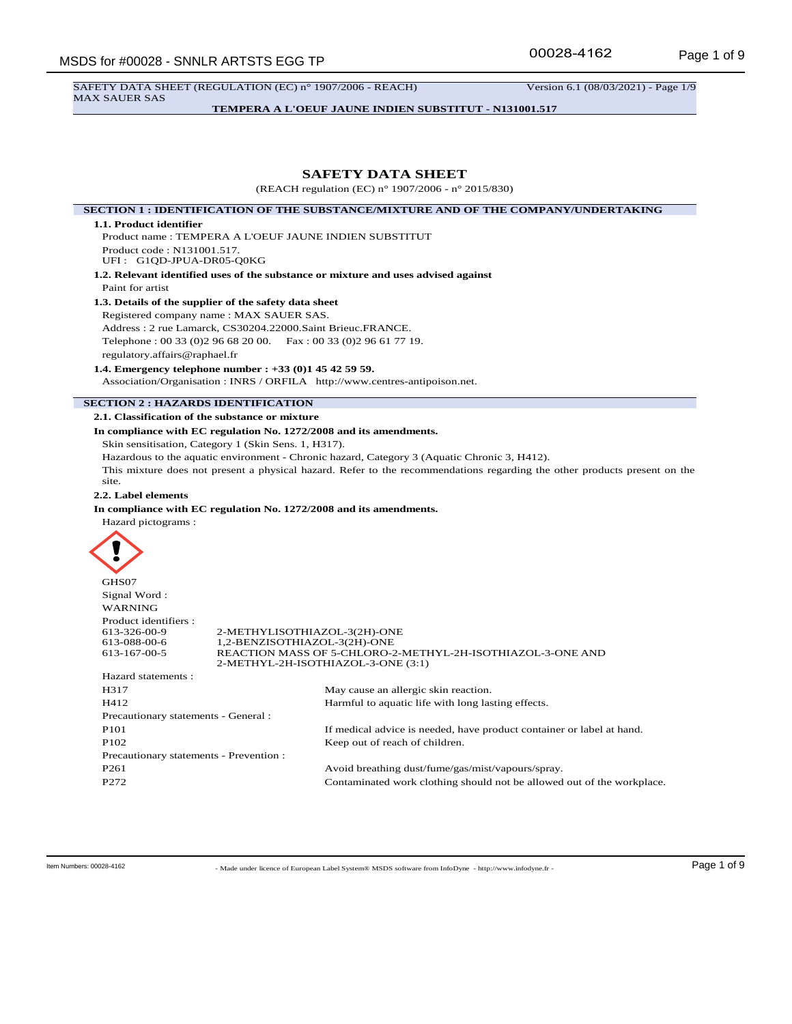SAFETY DATA SHEET (REGULATION (EC) n° 1907/2006 - REACH) Version 6.1 (08/03/2021) - Page 1/9 MAX SAUER SAS

**TEMPERA A L'OEUF JAUNE INDIEN SUBSTITUT - N131001.517**

# **SAFETY DATA SHEET**

| (REACH regulation (EC) n° 1907/2006 - n° 2015/830)                                 |                                                                                                                           |  |  |  |
|------------------------------------------------------------------------------------|---------------------------------------------------------------------------------------------------------------------------|--|--|--|
| SECTION 1 : IDENTIFICATION OF THE SUBSTANCE/MIXTURE AND OF THE COMPANY/UNDERTAKING |                                                                                                                           |  |  |  |
| 1.1. Product identifier                                                            |                                                                                                                           |  |  |  |
|                                                                                    | Product name: TEMPERA A L'OEUF JAUNE INDIEN SUBSTITUT                                                                     |  |  |  |
| Product code: N131001.517.<br>UFI: G1OD-JPUA-DR05-O0KG                             |                                                                                                                           |  |  |  |
|                                                                                    | 1.2. Relevant identified uses of the substance or mixture and uses advised against                                        |  |  |  |
| Paint for artist                                                                   |                                                                                                                           |  |  |  |
|                                                                                    | 1.3. Details of the supplier of the safety data sheet                                                                     |  |  |  |
|                                                                                    | Registered company name: MAX SAUER SAS.                                                                                   |  |  |  |
|                                                                                    | Address: 2 rue Lamarck, CS30204.22000.Saint Brieuc.FRANCE.                                                                |  |  |  |
|                                                                                    | Telephone: 00 33 (0) 2 96 68 20 00. Fax: 00 33 (0) 2 96 61 77 19.                                                         |  |  |  |
| regulatory.affairs@raphael.fr                                                      |                                                                                                                           |  |  |  |
|                                                                                    | 1.4. Emergency telephone number : $+33$ (0)1 45 42 59 59.                                                                 |  |  |  |
|                                                                                    | Association/Organisation: INRS / ORFILA http://www.centres-antipoison.net.                                                |  |  |  |
| <b>SECTION 2 : HAZARDS IDENTIFICATION</b>                                          |                                                                                                                           |  |  |  |
| 2.1. Classification of the substance or mixture                                    |                                                                                                                           |  |  |  |
|                                                                                    | In compliance with EC regulation No. 1272/2008 and its amendments.                                                        |  |  |  |
|                                                                                    | Skin sensitisation, Category 1 (Skin Sens. 1, H317).                                                                      |  |  |  |
|                                                                                    | Hazardous to the aquatic environment - Chronic hazard, Category 3 (Aquatic Chronic 3, H412).                              |  |  |  |
| site.                                                                              | This mixture does not present a physical hazard. Refer to the recommendations regarding the other products present on the |  |  |  |
| 2.2. Label elements                                                                |                                                                                                                           |  |  |  |
|                                                                                    | In compliance with EC regulation No. 1272/2008 and its amendments.                                                        |  |  |  |
| Hazard pictograms:                                                                 |                                                                                                                           |  |  |  |
|                                                                                    |                                                                                                                           |  |  |  |
|                                                                                    |                                                                                                                           |  |  |  |
|                                                                                    |                                                                                                                           |  |  |  |
| GHS07                                                                              |                                                                                                                           |  |  |  |
| Signal Word:                                                                       |                                                                                                                           |  |  |  |
| <b>WARNING</b>                                                                     |                                                                                                                           |  |  |  |
| Product identifiers :                                                              |                                                                                                                           |  |  |  |
| 613-326-00-9                                                                       | 2-METHYLISOTHIAZOL-3(2H)-ONE                                                                                              |  |  |  |
| 613-088-00-6                                                                       | 1,2-BENZISOTHIAZOL-3(2H)-ONE<br>REACTION MASS OF 5-CHLORO-2-METHYL-2H-ISOTHIAZOL-3-ONE AND                                |  |  |  |
| 613-167-00-5                                                                       | 2-METHYL-2H-ISOTHIAZOL-3-ONE (3:1)                                                                                        |  |  |  |
| Hazard statements:                                                                 |                                                                                                                           |  |  |  |
| H317                                                                               | May cause an allergic skin reaction.                                                                                      |  |  |  |
| H412                                                                               | Harmful to aquatic life with long lasting effects.                                                                        |  |  |  |
| Precautionary statements - General :                                               |                                                                                                                           |  |  |  |
| P101                                                                               | If medical advice is needed, have product container or label at hand.                                                     |  |  |  |
| P102                                                                               | Keep out of reach of children.                                                                                            |  |  |  |
| Precautionary statements - Prevention :                                            |                                                                                                                           |  |  |  |
| P <sub>261</sub>                                                                   | Avoid breathing dust/fume/gas/mist/vapours/spray.                                                                         |  |  |  |
| P272                                                                               | Contaminated work clothing should not be allowed out of the workplace.                                                    |  |  |  |
|                                                                                    |                                                                                                                           |  |  |  |

- Made under licence of European Label System® MSDS software from InfoDyne - http://www.infodyne.fr - Item Numbers: 00028-4162 Page 1 of 9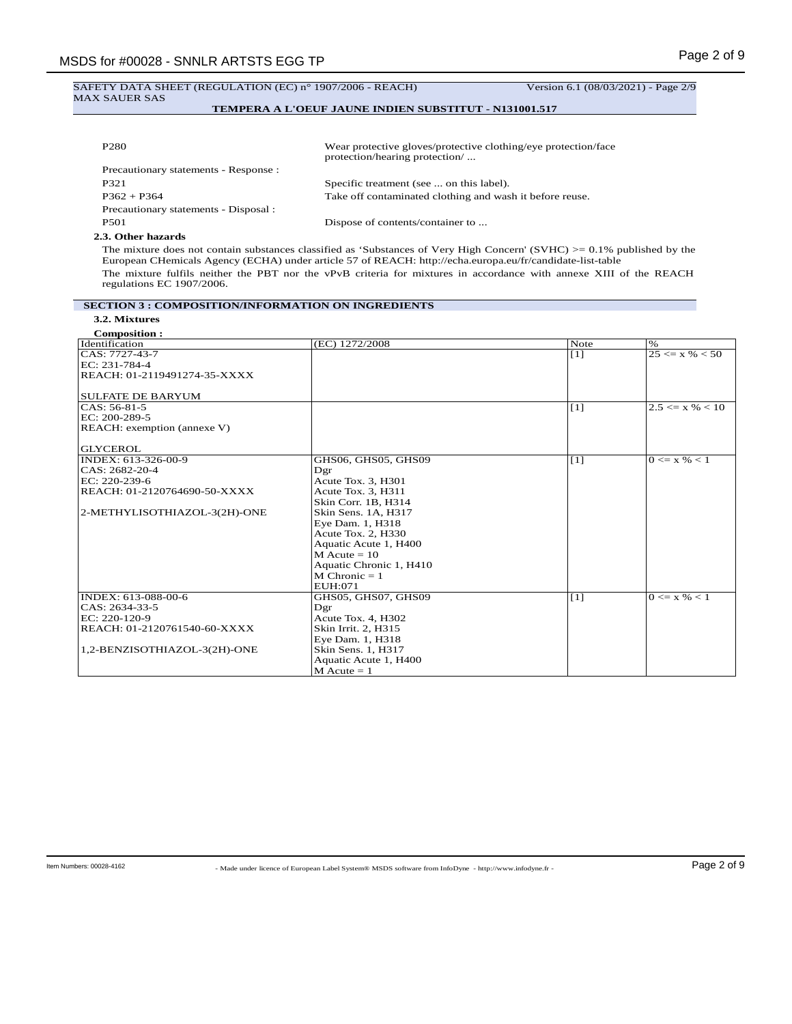# SAFETY DATA SHEET (REGULATION (EC) n° 1907/2006 - REACH) Version 6.1 (08/03/2021) - Page 2/9 MAX SAUER SAS

# **TEMPERA A L'OEUF JAUNE INDIEN SUBSTITUT - N131001.517**

| P <sub>280</sub>                      | Wear protective gloves/protective clothing/eye protection/face<br>protection/hearing protection/ |  |
|---------------------------------------|--------------------------------------------------------------------------------------------------|--|
| Precautionary statements - Response : |                                                                                                  |  |
| P321                                  | Specific treatment (see  on this label).                                                         |  |
| $P362 + P364$                         | Take off contaminated clothing and wash it before reuse.                                         |  |
| Precautionary statements - Disposal : |                                                                                                  |  |
| <b>P501</b>                           | Dispose of contents/container to                                                                 |  |
|                                       |                                                                                                  |  |

# **2.3. Other hazards**

The mixture does not contain substances classified as 'Substances of Very High Concern' (SVHC) >= 0.1% published by the European CHemicals Agency (ECHA) under article 57 of REACH: http://echa.europa.eu/fr/candidate-list-table The mixture fulfils neither the PBT nor the vPvB criteria for mixtures in accordance with annexe XIII of the REACH regulations EC 1907/2006.

#### **SECTION 3 : COMPOSITION/INFORMATION ON INGREDIENTS**

# **3.2. Mixtures**

| <b>Composition:</b>          |                         |       |                      |
|------------------------------|-------------------------|-------|----------------------|
| Identification               | (EC) 1272/2008          | Note  | $\%$                 |
| CAS: 7727-43-7               |                         | [1]   | $25 \le x \% \le 50$ |
| EC: 231-784-4                |                         |       |                      |
| REACH: 01-2119491274-35-XXXX |                         |       |                      |
|                              |                         |       |                      |
| <b>SULFATE DE BARYUM</b>     |                         |       |                      |
| $CAS: 56-81-5$               |                         | [1]   | $2.5 \le x\% < 10$   |
| $EC: 200-289-5$              |                         |       |                      |
| REACH: exemption (annexe V)  |                         |       |                      |
|                              |                         |       |                      |
| <b>GLYCEROL</b>              |                         |       |                      |
| INDEX: 613-326-00-9          | GHS06, GHS05, GHS09     | $[1]$ | $0 \le x \% < 1$     |
| $CAS: 2682-20-4$             | Dgr                     |       |                      |
| EC: 220-239-6                | Acute Tox. 3, H301      |       |                      |
| REACH: 01-2120764690-50-XXXX | Acute Tox. 3, H311      |       |                      |
|                              | Skin Corr. 1B, H314     |       |                      |
| 2-METHYLISOTHIAZOL-3(2H)-ONE | Skin Sens. 1A, H317     |       |                      |
|                              | Eye Dam. 1, H318        |       |                      |
|                              | Acute Tox. 2, H330      |       |                      |
|                              | Aquatic Acute 1, H400   |       |                      |
|                              | $M$ Acute = 10          |       |                      |
|                              | Aquatic Chronic 1, H410 |       |                      |
|                              | $M$ Chronic = 1         |       |                      |
|                              | EUH:071                 |       |                      |
| INDEX: 613-088-00-6          | GHS05, GHS07, GHS09     | [1]   | $0 \le x \% < 1$     |
| $CAS: 2634-33-5$             | Dgr                     |       |                      |
| EC: 220-120-9                | Acute Tox. 4, H302      |       |                      |
| REACH: 01-2120761540-60-XXXX | Skin Irrit. 2, H315     |       |                      |
|                              | Eye Dam. 1, H318        |       |                      |
| 1,2-BENZISOTHIAZOL-3(2H)-ONE | Skin Sens. 1, H317      |       |                      |
|                              | Aquatic Acute 1, H400   |       |                      |
|                              | $M$ Acute = 1           |       |                      |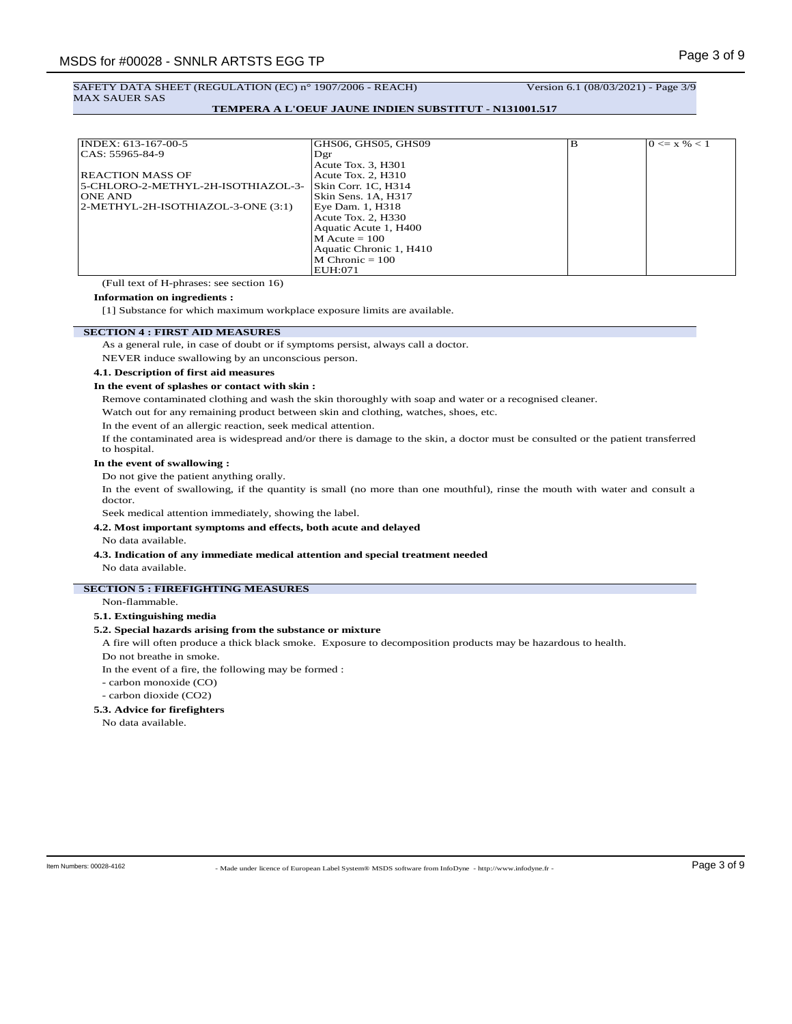## **TEMPERA A L'OEUF JAUNE INDIEN SUBSTITUT - N131001.517**

| INDEX: 613-167-00-5                | GHS06, GHS05, GHS09     | B | $0 \le x \% < 1$ |
|------------------------------------|-------------------------|---|------------------|
| CAS: 55965-84-9                    | Dgr                     |   |                  |
|                                    | Acute Tox. 3, H301      |   |                  |
| <b>REACTION MASS OF</b>            | Acute Tox. 2, H310      |   |                  |
| 5-CHLORO-2-METHYL-2H-ISOTHIAZOL-3- | Skin Corr. 1C, H314     |   |                  |
| <b>ONE AND</b>                     | Skin Sens. 1A, H317     |   |                  |
| 2-METHYL-2H-ISOTHIAZOL-3-ONE (3:1) | Eye Dam. 1, H318        |   |                  |
|                                    | Acute Tox. 2, H330      |   |                  |
|                                    | Aquatic Acute 1, H400   |   |                  |
|                                    | $M$ Acute = 100         |   |                  |
|                                    | Aquatic Chronic 1, H410 |   |                  |
|                                    | $M$ Chronic = 100       |   |                  |
|                                    | EUH:071                 |   |                  |

(Full text of H-phrases: see section 16)

# **Information on ingredients :**

[1] Substance for which maximum workplace exposure limits are available.

## **SECTION 4 : FIRST AID MEASURES**

As a general rule, in case of doubt or if symptoms persist, always call a doctor.

NEVER induce swallowing by an unconscious person.

#### **4.1. Description of first aid measures**

#### **In the event of splashes or contact with skin :**

Remove contaminated clothing and wash the skin thoroughly with soap and water or a recognised cleaner.

Watch out for any remaining product between skin and clothing, watches, shoes, etc.

In the event of an allergic reaction, seek medical attention.

If the contaminated area is widespread and/or there is damage to the skin, a doctor must be consulted or the patient transferred to hospital.

#### **In the event of swallowing :**

Do not give the patient anything orally.

In the event of swallowing, if the quantity is small (no more than one mouthful), rinse the mouth with water and consult a doctor.

Seek medical attention immediately, showing the label.

#### **4.2. Most important symptoms and effects, both acute and delayed**

#### No data available.

### **4.3. Indication of any immediate medical attention and special treatment needed**

No data available.

# **SECTION 5 : FIREFIGHTING MEASURES**

#### Non-flammable.

**5.1. Extinguishing media**

#### **5.2. Special hazards arising from the substance or mixture**

A fire will often produce a thick black smoke. Exposure to decomposition products may be hazardous to health.

Do not breathe in smoke.

In the event of a fire, the following may be formed :

- carbon monoxide (CO)
- carbon dioxide (CO2)

#### **5.3. Advice for firefighters**

No data available.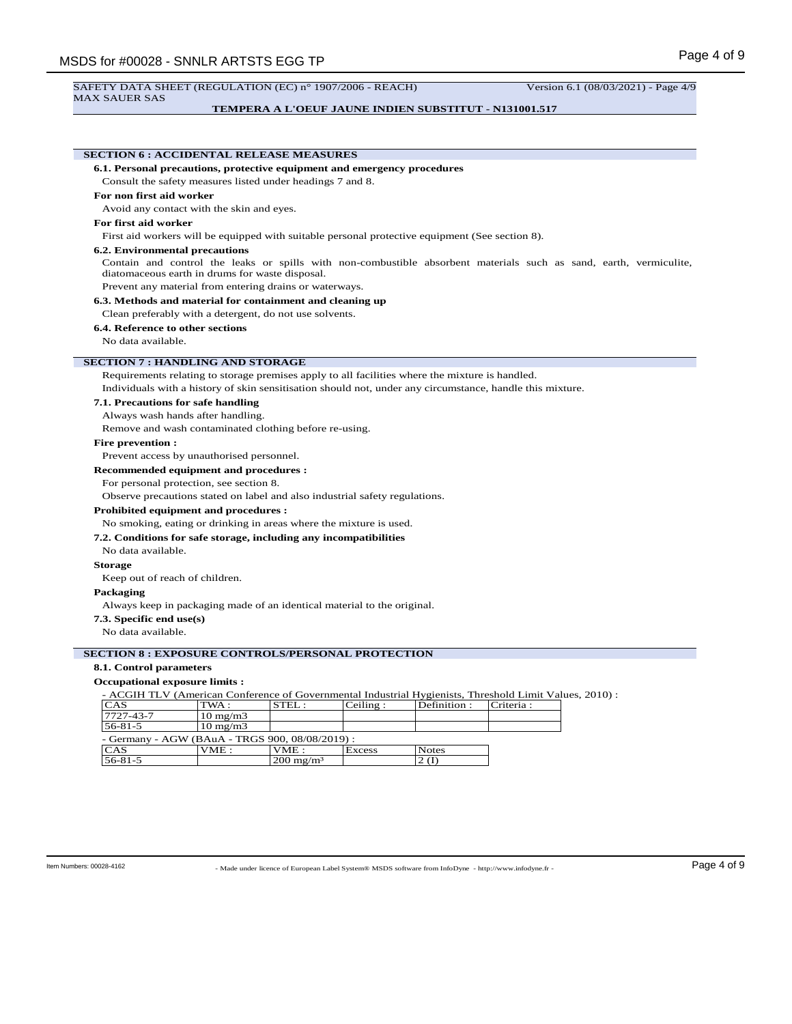#### SAFETY DATA SHEET (REGULATION (EC) n° 1907/2006 - REACH) Version 6.1 (08/03/2021) - Page 4/9 MAX SAUER SAS

### **TEMPERA A L'OEUF JAUNE INDIEN SUBSTITUT - N131001.517**

# **SECTION 6 : ACCIDENTAL RELEASE MEASURES 6.1. Personal precautions, protective equipment and emergency procedures** Consult the safety measures listed under headings 7 and 8. **For non first aid worker** Avoid any contact with the skin and eyes. **For first aid worker** First aid workers will be equipped with suitable personal protective equipment (See section 8). **6.2. Environmental precautions** Contain and control the leaks or spills with non-combustible absorbent materials such as sand, earth, vermiculite, diatomaceous earth in drums for waste disposal. Prevent any material from entering drains or waterways. **6.3. Methods and material for containment and cleaning up** Clean preferably with a detergent, do not use solvents. **6.4. Reference to other sections** No data available. **SECTION 7 : HANDLING AND STORAGE** Requirements relating to storage premises apply to all facilities where the mixture is handled. Individuals with a history of skin sensitisation should not, under any circumstance, handle this mixture. **7.1. Precautions for safe handling** Always wash hands after handling. Remove and wash contaminated clothing before re-using. **Fire prevention :** Prevent access by unauthorised personnel. **Recommended equipment and procedures :** For personal protection, see section 8. Observe precautions stated on label and also industrial safety regulations. **Prohibited equipment and procedures :** No smoking, eating or drinking in areas where the mixture is used. **7.2. Conditions for safe storage, including any incompatibilities** No data available. **Storage** Keep out of reach of children. **Packaging** Always keep in packaging made of an identical material to the original. **7.3. Specific end use(s)** No data available. **SECTION 8 : EXPOSURE CONTROLS/PERSONAL PROTECTION 8.1. Control parameters**

### **Occupational exposure limits :**

- ACGIH TLV (American Conference of Governmental Industrial Hygienists, Threshold Limit Values, 2010) :

| <b>CAS</b>                                      | ITWA :              | STEL:                | Ceiling: | Definition:  | Criteria : |
|-------------------------------------------------|---------------------|----------------------|----------|--------------|------------|
| 7727-43-7                                       | $10 \text{ mg/m}$ 3 |                      |          |              |            |
| $56 - 81 - 5$                                   | $10 \text{ mg/m}$   |                      |          |              |            |
| - Germany - AGW (BAuA - TRGS 900, 08/08/2019) : |                     |                      |          |              |            |
| <b>CAS</b>                                      | VME:                | VME:                 | Excess   | <b>Notes</b> |            |
| $56 - 81 - 5$                                   |                     | $200 \text{ mg/m}^3$ |          | $2 \times$   |            |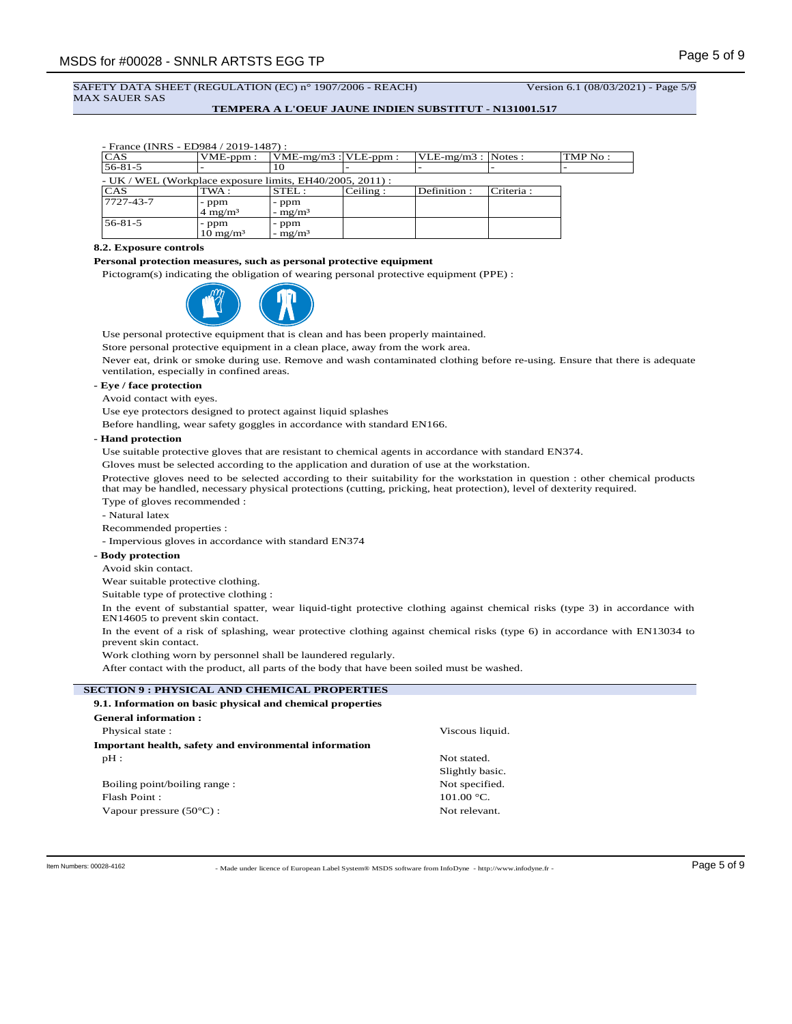# SAFETY DATA SHEET (REGULATION (EC) n° 1907/2006 - REACH) Version 6.1 (08/03/2021) - Page 5/9 MAX SAUER SAS

### **TEMPERA A L'OEUF JAUNE INDIEN SUBSTITUT - N131001.517**

|  |  | - France (INRS - ED984 / 2019-1487) : |  |
|--|--|---------------------------------------|--|
|  |  |                                       |  |

| <b>CAS</b>                                                     | $VME-ppm$ :                  | $VME-mg/m3$ : $VLE-ppm$ : |          | $VLE-mg/m3$ : Notes : |            | TMP No: |
|----------------------------------------------------------------|------------------------------|---------------------------|----------|-----------------------|------------|---------|
| $56 - 81 - 5$                                                  |                              | 10                        |          |                       |            |         |
| - UK / WEL (Workplace exposure limits, $EH40/2005$ , $2011$ ): |                              |                           |          |                       |            |         |
| <b>CAS</b>                                                     | TWA :                        | $ {\rm STEL}$ :           | Ceiling: | Definition:           | Criteria : |         |
| 7727-43-7                                                      | - ppm<br>$4 \text{ mg/m}^3$  | - ppm<br>- $mg/m^3$       |          |                       |            |         |
| 56-81-5                                                        | - ppm<br>$10 \text{ mg/m}^3$ | - ppm<br>- $mg/m^3$       |          |                       |            |         |

### **8.2. Exposure controls**

### **Personal protection measures, such as personal protective equipment**

Pictogram(s) indicating the obligation of wearing personal protective equipment (PPE) :



Use personal protective equipment that is clean and has been properly maintained.

Store personal protective equipment in a clean place, away from the work area.

Never eat, drink or smoke during use. Remove and wash contaminated clothing before re-using. Ensure that there is adequate ventilation, especially in confined areas.

### **- Eye / face protection**

Avoid contact with eyes.

Use eye protectors designed to protect against liquid splashes

Before handling, wear safety goggles in accordance with standard EN166.

### **- Hand protection**

Use suitable protective gloves that are resistant to chemical agents in accordance with standard EN374.

Gloves must be selected according to the application and duration of use at the workstation.

Protective gloves need to be selected according to their suitability for the workstation in question : other chemical products that may be handled, necessary physical protections (cutting, pricking, heat protection), level of dexterity required.

Type of gloves recommended :

- Natural latex

Recommended properties :

- Impervious gloves in accordance with standard EN374

#### **- Body protection**

Avoid skin contact.

Wear suitable protective clothing.

Suitable type of protective clothing :

In the event of substantial spatter, wear liquid-tight protective clothing against chemical risks (type 3) in accordance with EN14605 to prevent skin contact.

In the event of a risk of splashing, wear protective clothing against chemical risks (type 6) in accordance with EN13034 to prevent skin contact.

Work clothing worn by personnel shall be laundered regularly.

After contact with the product, all parts of the body that have been soiled must be washed.

| <b>SECTION 9: PHYSICAL AND CHEMICAL PROPERTIES</b>         |                 |
|------------------------------------------------------------|-----------------|
| 9.1. Information on basic physical and chemical properties |                 |
| General information:                                       |                 |
| Physical state:                                            | Viscous liquid. |
| Important health, safety and environmental information     |                 |
| $pH$ :                                                     | Not stated.     |
|                                                            | Slightly basic. |
| Boiling point/boiling range:                               | Not specified.  |
| Flash Point:                                               | 101.00 °C.      |
| Vapour pressure $(50^{\circ}C)$ :                          | Not relevant.   |
|                                                            |                 |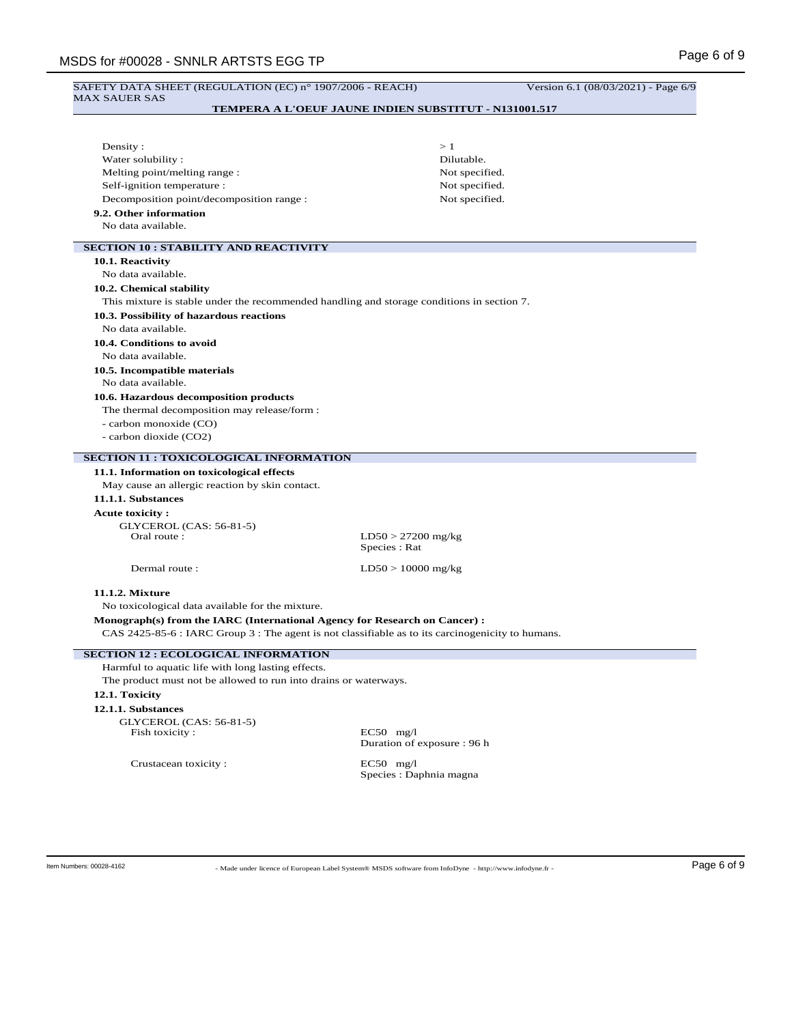| SAFETY DATA SHEET (REGULATION (EC) n° 1907/2006 - REACH)<br><b>MAX SAUER SAS</b>                  | Version 6.1 (08/03/2021) - Page 6/9                          |
|---------------------------------------------------------------------------------------------------|--------------------------------------------------------------|
|                                                                                                   | <b>TEMPERA A L'OEUF JAUNE INDIEN SUBSTITUT - N131001.517</b> |
|                                                                                                   |                                                              |
| Density:                                                                                          | >1                                                           |
| Water solubility:                                                                                 | Dilutable.                                                   |
| Melting point/melting range:                                                                      | Not specified.                                               |
| Self-ignition temperature :                                                                       | Not specified.                                               |
| Decomposition point/decomposition range :                                                         | Not specified.                                               |
| 9.2. Other information                                                                            |                                                              |
| No data available.                                                                                |                                                              |
| <b>SECTION 10 : STABILITY AND REACTIVITY</b>                                                      |                                                              |
| 10.1. Reactivity                                                                                  |                                                              |
| No data available.                                                                                |                                                              |
| 10.2. Chemical stability                                                                          |                                                              |
| This mixture is stable under the recommended handling and storage conditions in section 7.        |                                                              |
| 10.3. Possibility of hazardous reactions                                                          |                                                              |
| No data available.                                                                                |                                                              |
| 10.4. Conditions to avoid                                                                         |                                                              |
| No data available.                                                                                |                                                              |
| 10.5. Incompatible materials                                                                      |                                                              |
| No data available.                                                                                |                                                              |
| 10.6. Hazardous decomposition products                                                            |                                                              |
| The thermal decomposition may release/form :                                                      |                                                              |
| - carbon monoxide (CO)                                                                            |                                                              |
| - carbon dioxide (CO2)                                                                            |                                                              |
|                                                                                                   |                                                              |
| <b>SECTION 11 : TOXICOLOGICAL INFORMATION</b>                                                     |                                                              |
| 11.1. Information on toxicological effects                                                        |                                                              |
| May cause an allergic reaction by skin contact.                                                   |                                                              |
| 11.1.1. Substances                                                                                |                                                              |
| <b>Acute toxicity:</b>                                                                            |                                                              |
| GLYCEROL (CAS: 56-81-5)<br>Oral route:                                                            | $LD50 > 27200$ mg/kg                                         |
|                                                                                                   | Species : Rat                                                |
| Dermal route:                                                                                     |                                                              |
|                                                                                                   | $LD50 > 10000$ mg/kg                                         |
| <b>11.1.2. Mixture</b>                                                                            |                                                              |
| No toxicological data available for the mixture.                                                  |                                                              |
| Monograph(s) from the IARC (International Agency for Research on Cancer) :                        |                                                              |
| CAS 2425-85-6 : IARC Group 3 : The agent is not classifiable as to its carcinogenicity to humans. |                                                              |
| <b>SECTION 12 : ECOLOGICAL INFORMATION</b>                                                        |                                                              |
| Harmful to aquatic life with long lasting effects.                                                |                                                              |
| The product must not be allowed to run into drains or waterways.                                  |                                                              |
| 12.1. Toxicity                                                                                    |                                                              |
| 12.1.1. Substances                                                                                |                                                              |
| GLYCEROL (CAS: 56-81-5)                                                                           |                                                              |
| Fish toxicity:                                                                                    | $EC50$ mg/l                                                  |
|                                                                                                   | Duration of exposure: 96 h                                   |
| Crustacean toxicity:                                                                              | $EC50$ mg/l                                                  |
|                                                                                                   | Species : Daphnia magna                                      |
|                                                                                                   |                                                              |
|                                                                                                   |                                                              |
|                                                                                                   |                                                              |
|                                                                                                   |                                                              |
|                                                                                                   |                                                              |

- Made under licence of European Label System® MSDS software from InfoDyne - http://www.infodyne.fr - Item Numbers: 00028-4162 Page 6 of 9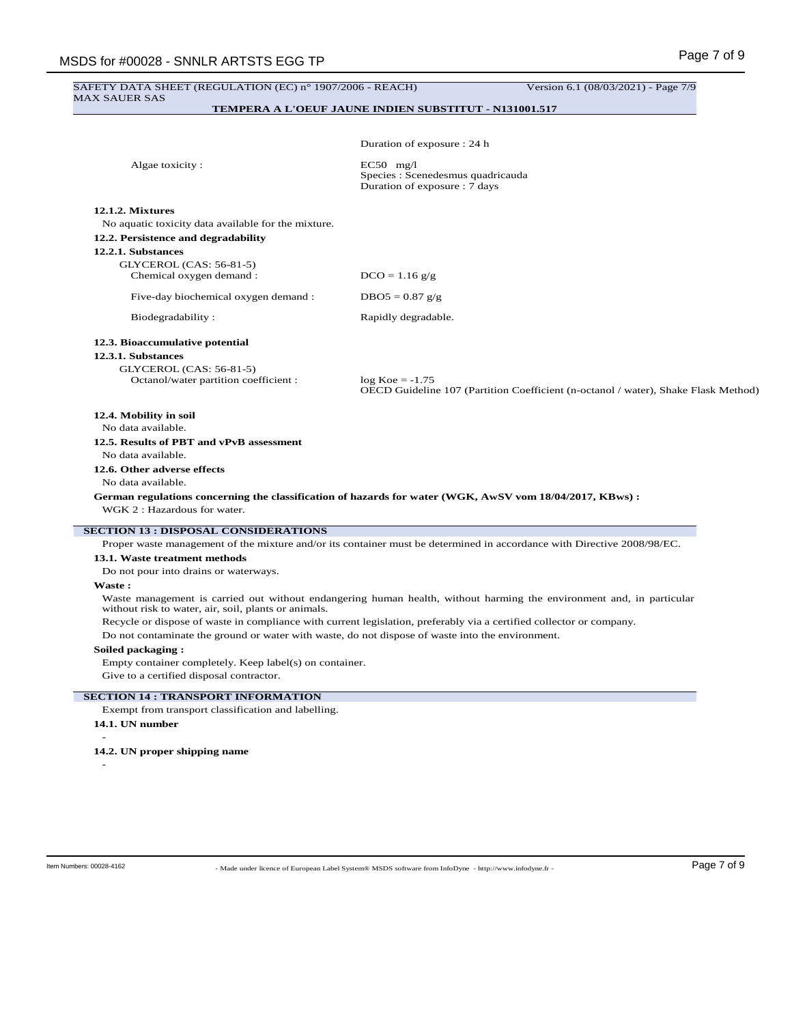| SAFETY DATA SHEET (REGULATION (EC) n° 1907/2006 - REACH)<br><b>MAX SAUER SAS</b>                 | Version 6.1 (08/03/2021) - Page 7/9                                                                                     |
|--------------------------------------------------------------------------------------------------|-------------------------------------------------------------------------------------------------------------------------|
|                                                                                                  | <b>TEMPERA A L'OEUF JAUNE INDIEN SUBSTITUT - N131001.517</b>                                                            |
|                                                                                                  |                                                                                                                         |
|                                                                                                  | Duration of exposure : 24 h                                                                                             |
| Algae toxicity:                                                                                  | $EC50$ mg/l                                                                                                             |
|                                                                                                  | Species : Scenedesmus quadricauda                                                                                       |
|                                                                                                  | Duration of exposure : 7 days                                                                                           |
| <b>12.1.2. Mixtures</b>                                                                          |                                                                                                                         |
| No aquatic toxicity data available for the mixture.                                              |                                                                                                                         |
| 12.2. Persistence and degradability                                                              |                                                                                                                         |
| 12.2.1. Substances                                                                               |                                                                                                                         |
| GLYCEROL (CAS: 56-81-5)                                                                          |                                                                                                                         |
| Chemical oxygen demand :                                                                         | $DCO = 1.16$ g/g                                                                                                        |
| Five-day biochemical oxygen demand :                                                             | $DBO5 = 0.87$ g/g                                                                                                       |
|                                                                                                  |                                                                                                                         |
| Biodegradability:                                                                                | Rapidly degradable.                                                                                                     |
| 12.3. Bioaccumulative potential                                                                  |                                                                                                                         |
| 12.3.1. Substances                                                                               |                                                                                                                         |
| GLYCEROL (CAS: 56-81-5)                                                                          |                                                                                                                         |
| Octanol/water partition coefficient :                                                            | $log Koe = -1.75$<br>OECD Guideline 107 (Partition Coefficient (n-octanol / water), Shake Flask Method)                 |
| 12.4. Mobility in soil                                                                           |                                                                                                                         |
| No data available.                                                                               |                                                                                                                         |
| 12.5. Results of PBT and vPvB assessment                                                         |                                                                                                                         |
| No data available.                                                                               |                                                                                                                         |
| 12.6. Other adverse effects                                                                      |                                                                                                                         |
| No data available.                                                                               |                                                                                                                         |
|                                                                                                  |                                                                                                                         |
| WGK 2 : Hazardous for water.                                                                     | German regulations concerning the classification of hazards for water (WGK, AwSV vom 18/04/2017, KBws) :                |
| <b>SECTION 13 : DISPOSAL CONSIDERATIONS</b>                                                      |                                                                                                                         |
|                                                                                                  | Proper waste management of the mixture and/or its container must be determined in accordance with Directive 2008/98/EC. |
| 13.1. Waste treatment methods                                                                    |                                                                                                                         |
| Do not pour into drains or waterways.                                                            |                                                                                                                         |
| Waste:                                                                                           |                                                                                                                         |
| without risk to water, air, soil, plants or animals.                                             | Waste management is carried out without endangering human health, without harming the environment and, in particular    |
|                                                                                                  | Recycle or dispose of waste in compliance with current legislation, preferably via a certified collector or company.    |
| Do not contaminate the ground or water with waste, do not dispose of waste into the environment. |                                                                                                                         |
| Soiled packaging:                                                                                |                                                                                                                         |
| Empty container completely. Keep label(s) on container.                                          |                                                                                                                         |
| Give to a certified disposal contractor.                                                         |                                                                                                                         |
|                                                                                                  |                                                                                                                         |
|                                                                                                  |                                                                                                                         |
| <b>SECTION 14 : TRANSPORT INFORMATION</b>                                                        |                                                                                                                         |
| Exempt from transport classification and labelling.                                              |                                                                                                                         |
| 14.1. UN number                                                                                  |                                                                                                                         |
|                                                                                                  |                                                                                                                         |
| 14.2. UN proper shipping name                                                                    |                                                                                                                         |
|                                                                                                  |                                                                                                                         |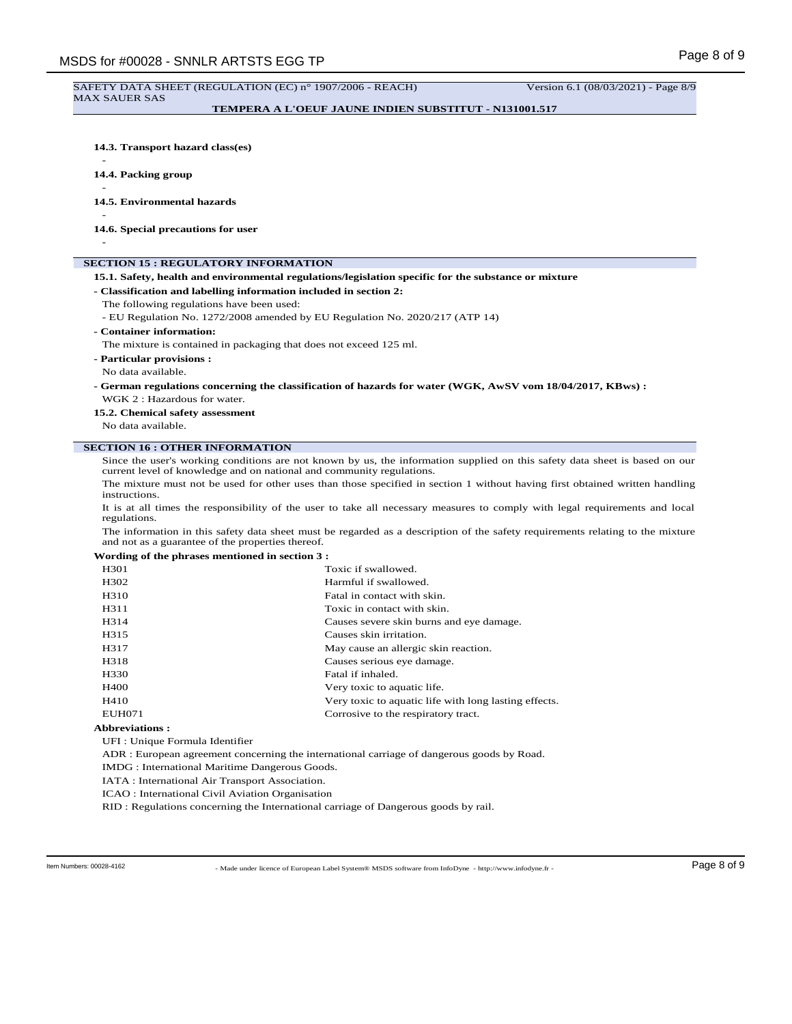#### SAFETY DATA SHEET (REGULATION (EC) n° 1907/2006 - REACH) Version 6.1 (08/03/2021) - Page 8/9 MAX SAUER SAS

**TEMPERA A L'OEUF JAUNE INDIEN SUBSTITUT - N131001.517**

#### **14.3. Transport hazard class(es)**

- **14.4. Packing group**

- -
- **14.5. Environmental hazards**

**14.6. Special precautions for user**

-

-

# **SECTION 15 : REGULATORY INFORMATION**

- **15.1. Safety, health and environmental regulations/legislation specific for the substance or mixture**
- **Classification and labelling information included in section 2:**
- The following regulations have been used:
- EU Regulation No. 1272/2008 amended by EU Regulation No. 2020/217 (ATP 14)
- **Container information:**

The mixture is contained in packaging that does not exceed 125 ml.

**- Particular provisions :**

- No data available.
- **German regulations concerning the classification of hazards for water (WGK, AwSV vom 18/04/2017, KBws) :** WGK 2 : Hazardous for water.
- **15.2. Chemical safety assessment**

No data available.

## **SECTION 16 : OTHER INFORMATION**

Since the user's working conditions are not known by us, the information supplied on this safety data sheet is based on our current level of knowledge and on national and community regulations.

The mixture must not be used for other uses than those specified in section 1 without having first obtained written handling instructions.

It is at all times the responsibility of the user to take all necessary measures to comply with legal requirements and local regulations.

The information in this safety data sheet must be regarded as a description of the safety requirements relating to the mixture and not as a guarantee of the properties thereof.

#### **Wording of the phrases mentioned in section 3 :**

| H301        | Toxic if swallowed.                                   |
|-------------|-------------------------------------------------------|
| H302        | Harmful if swallowed.                                 |
| H310        | Fatal in contact with skin.                           |
| H311        | Toxic in contact with skin.                           |
| H314        | Causes severe skin burns and eye damage.              |
| H315        | Causes skin irritation.                               |
| H317        | May cause an allergic skin reaction.                  |
| H318        | Causes serious eye damage.                            |
| H330        | Fatal if inhaled.                                     |
| <b>H400</b> | Very toxic to aquatic life.                           |
| H410        | Very toxic to aquatic life with long lasting effects. |
| EUH071      | Corrosive to the respiratory tract.                   |
|             |                                                       |

# **Abbreviations :**

UFI : Unique Formula Identifier

ADR : European agreement concerning the international carriage of dangerous goods by Road.

IMDG : International Maritime Dangerous Goods.

IATA : International Air Transport Association.

ICAO : International Civil Aviation Organisation

RID : Regulations concerning the International carriage of Dangerous goods by rail.